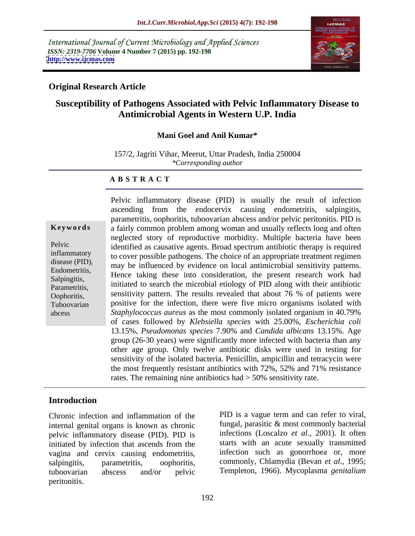International Journal of Current Microbiology and Applied Sciences *ISSN: 2319-7706* **Volume 4 Number 7 (2015) pp. 192-198 <http://www.ijcmas.com>**



## **Original Research Article**

# **Susceptibility of Pathogens Associated with Pelvic Inflammatory Disease to Antimicrobial Agents in Western U.P. India**

### **Mani Goel and Anil Kumar\***

157/2, Jagriti Vihar, Meerut, Uttar Pradesh, India 250004 *\*Corresponding author*

### **A B S T R A C T**

abcess

Pelvic inflammatory disease (PID) is usually the result of infection ascending from the endocervix causing endometritis, salpingitis, parametritis, oophoritis, tuboovarian abscess and/or pelvic peritonitis. PID is **Keywords** a fairly common problem among woman and usually reflects long and often neglected story of reproductive morbidity. Multiple bacteria have been Pelvic identified as causative agents. Broad spectrum antibiotic therapy is required inflammatory to cover possible pathogens. The choice of an appropriate treatment regimen disease (PID),<br>
may be influenced by evidence on local antimicrobial sensitivity patterns. Endometritis,<br>
Hence taking these into consideration, the present research work had initiated to search the microbial etiology of PID along with their antibiotic Parametritis, sensitivity pattern. The results revealed that about 76 % of patients were Oophoritis, Tuboovarian positive for the infection, there were five micro organisms isolated with *Staphylococcus aureus* as the most commonly isolated organism in 40.79% of cases followed by *Klebsiella species* with 25.00%, *Escherichia coli*  13.15%, *Pseudomonas species* 7.90% and *Candida albicans* 13.15%. Age group (26-30 years) were significantly more infected with bacteria than any other age group. Only twelve antibiotic disks were used in testing for sensitivity of the isolated bacteria. Penicillin, ampicillin and tetracycin were the most frequently resistant antibiotics with 72%, 52% and 71% resistance rates. The remaining nine antibiotics had > 50% sensitivity rate. Salpingitis, Thence taxing these into consideration, the present research work had

## **Introduction**

Chronic infection and inflammation of the internal genital organs is known as chronic pelvic inflammatory disease (PID). PID is initiated by infection that ascends from the vagina and cervix causing endometritis, salpingitis, parametritis, oophoritis, commonly, Chlamydia (Bevan *et al.,* 1995; tuboovarian abscess and/or pelvic Templeton, 1966). Mycoplasma *genitalium* peritonitis.

PID is a vague term and can refer to viral, fungal, parasitic & most commonly bacterial infections (Loscalzo *et al.,* 2001). It often starts with an acute sexually transmitted infection such as gonorrhoea or, more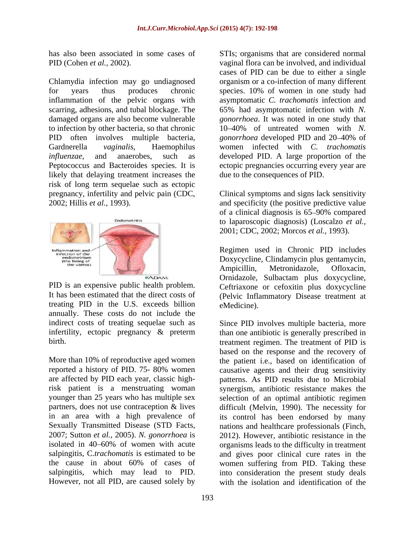Chlamydia infection may go undiagnosed for years thus produces chronic species. 10% of women in one study had inflammation of the pelvic organs with scarring, adhesions, and tubal blockage. The 65% had asymptomatic infection with *N.*  damaged organs are also become vulnerable *gonorrhoea*. It was noted in one study that to infection by other bacteria, so that chronic 10 40% of untreated women with *N.*  PID often involves multiple bacteria, *gonorrhoea* developed PID and 20–40% of Gardnerella *vaginalis*, Haemophilus women infected with *C. trachomatis influenzae*, and anaerobes, such as developed PID. A large proportion of the Peptococcus and Bacteroides species. It is ectopic pregnancies occurring every year are likely that delaying treatment increases the risk of long term sequelae such as ectopic pregnancy, infertility and pelvic pain (CDC, Clinical symptoms and signs lack sensitivity and specificity (the positive predictive value



treating PID in the U.S. exceeds billion annually. These costs do not include the indirect costs of treating sequelae such as Since PID involves multiple bacteria, more

Sexually Transmitted Disease (STD Facts, nations and healthcare professionals (Finch, 2007; Sutton *et al.,* 2005). *N. gonorrhoea* is However, not all PID, are caused solely by

has also been associated in some cases of STIs; organisms that are considered normal PID (Cohen *et al.*, 2002). vaginal flora can be involved, and individual cases of PID can be due to either a single organism or a co-infection of many different asymptomatic *C. trachomatis* infection and *gonorrhoea* developed PID and 20–40% of due to the consequences of PID.

> Clinical symptoms and signs lack sensitivity and specificity (the positive predictive value of a clinical diagnosis is 65–90% compared to laparoscopic diagnosis) (Loscalzo *et al.,*

PID is an expensive public health problem. Ceftriaxone or cefoxitin plus doxycycline It has been estimated that the direct costs of (Pelvic Inflammatory Disease treatment at 2001; CDC, 2002; Morcos *et al.,* 1993). Regimen used in Chronic PID includes Doxycycline, Clindamycin plus gentamycin, Ampicillin, Metronidazole, Ofloxacin, Ornidazole, Sulbactam plus doxycycline,

infertility, ectopic pregnancy & preterm than one antibiotic is generally prescribed in birth. treatment regimen. The treatment of PID is More than 10% of reproductive aged women the patient i.e., based on identification of reported a history of PID. 75- 80% women causative agents and their drug sensitivity are affected by PID each year, classichigh-patterns. As PID results due to Microbial risk patient is a menstruating woman synergism, antibiotic resistance makes the younger than 25 years who has multiple sex selection of an optimal antibiotic regimen partners, does not use contraception & lives difficult (Melvin, 1990). The necessity for in an area with a high prevalence of its control has been endorsed by many isolated in 40–60% of women with acute organisms leads to the difficulty in treatment salpingitis, C.*trachomatis* is estimated to be and gives poor clinical cure rates in the the cause in about 60% of cases of women suffering from PID. Taking these salpingitis, which may lead to PID. into consideration the present study deals eMedicine).<br>Since PID involves multiple bacteria, more based on the response and the recovery of nations and healthcare professionals (Finch, 2012). However, antibiotic resistance in the with the isolation and identification of the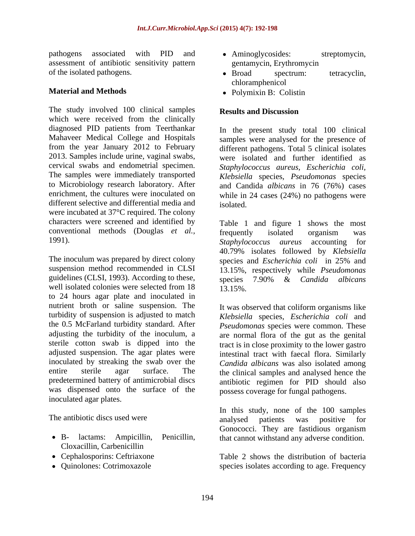pathogens associated with PID and • Aminoglycosides: streptomycin, assessment of antibiotic sensitivity pattern

The study involved 100 clinical samples Results and Discussion which were received from the clinically diagnosed PID patients from Teerthankar Mahaveer Medical College and Hospitals The samples were immediately transported to Microbiology research laboratory. After enrichment, the cultures were inoculated on different selective and differential media and isolated were incubated at 37°C required. The colony characters were screened and identified by conventional methods (Douglas *et al.,* 1991). Staphylococcus aureus accounting for

The inoculum was prepared by direct colony species and *Escherichia coli* in 25% and suspension method recommended in CLSI guidelines (CLSI, 1993). According to these, species  $\overline{7.90\%}$  & Candida albicans well isolated colonies were selected from  $18 \qquad \qquad 13.15\%$ . to 24 hours agar plate and inoculated in nutrient broth or saline suspension. The turbidity of suspension is adjusted to match *Klebsiella* species, *Escherichia coli* and the 0.5 McFarland turbidity standard. After *Pseudomonas* species were common. These adjusting the turbidity of the inoculum, a are normal flora of the gut as the genital sterile cotton swab is dipped into the tract is in close proximity to the lower gastro adjusted suspension. The agar plates were inoculated by streaking the swab over the entire sterile agar surface. The the clinical samples and analysed hence the predetermined battery of antimicrobial discs antibiotic regimen for PID should also was dispensed onto the surface of the inoculated agar plates.

- Cloxacillin, Carbenicillin
- 
- 
- Aminoglycosides: streptomycin, gentamycin, Erythromycin
- of the isolated pathogens. <br>
 Broad spectrum: tetracyclin, Broad spectrum: tetracyclin, chloramphenicol
- **Material and Methods** Polymixin B: Colistin Polymixin B: Colistin

## **Results and Discussion**

from the year January 2012 to February different pathogens. Total 5 clinical isolates 2013. Samples include urine, vaginal swabs, were isolated and further identified as cervical swabs and endometrial specimen. *Staphylococcus aureus, Escherichia coli,* In the present study total 100 clinical samples were analysed for the presence of *Klebsiella* species, *Pseudomonas* species and Candida *albicans* in 76 (76%) cases while in 24 cases (24%) no pathogens were isolated.

> Table 1 and figure 1 shows the most frequently isolated organism was *Staphylococcus aureus* accounting for 40.79% isolates followed by *Klebsiella* 13.15%, respectively while *Pseudomonas* species 7.90% & *Candida albicans* 13.15%.

It was observed that coliform organisms like intestinal tract with faecal flora. Similarly *Candida albicans* was also isolated among possess coverage for fungal pathogens.

The antibiotic discs used were analysed patients was positive for B- lactams: Ampicillin, Penicillin, that cannot withstand any adverse condition. In this study, none of the 100 samples analysed patients was positive for Gonococci. They are fastidious organism

Cephalosporins: Ceftriaxone Table 2 shows the distribution of bacteria Quinolones: Cotrimoxazole species isolates according to age. Frequency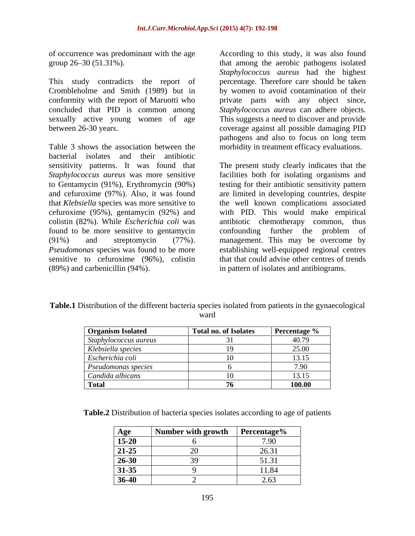of occurrence was predominant with the age

This study contradicts the report of Crombleholme and Smith (1989) but in by women to avoid contamination of their conformity with the report of Maruotti who concluded that PID is common among *Staphylococcus aureus* can adhere objects. sexually active young women of age This suggests a need to discover and provide between 26-30 years. coverage against all possible damaging PID

Table 3 shows the association between the morbidity in treatment efficacy evaluations. bacterial isolates and their antibiotic sensitivity patterns. It was found that The present study clearly indicates that the *Staphylococcus aureus* was more sensitive to Gentamycin (91%), Erythromycin (90%) testing for their antibiotic sensitivity pattern and cefuroxime (97%). Also, it was found are limited in developing countries, despite that *Klebsiella* species was more sensitive to the well known complications associated cefuroxime (95%), gentamycin (92%) and with PID. This would make empirical colistin (82%). While *Escherichia coli* was found to be more sensitive to gentamycin confounding further the problem of (91%) and streptomycin (77%). management. This may be overcome by Pseudomonas species was found to be more establishing well-equipped regional centres sensitive to cefuroxime (96%), colistin (89%) and carbenicillin (94%). in pattern of isolates and antibiograms.

group 26 30 (51.31%). that among the aerobic pathogens isolated According to this study, it was also found *Staphylococcus aureus* had the highest percentage. Therefore care should be taken private parts with any object since, pathogens and also to focus on long term

> facilities both for isolating organisms and antibiotic chemotherapy common, thus confounding further the problem of that that could advise other centres of trends

| <b>Table.1 Dist</b><br>istribution of the different bacteria species isolated from patients in the gynaecological |  |
|-------------------------------------------------------------------------------------------------------------------|--|
| warc                                                                                                              |  |

| <b>Organism Isolated</b> | Total no. of Isolates | <b>Percentage</b> $\%$ |
|--------------------------|-----------------------|------------------------|
| Staphylococcus aureus    |                       | 40.79                  |
| Klebsiella species       |                       | 25.00                  |
| Escherichia coli         |                       | 13.15                  |
| Pseudomonas species      |                       | 7.00 <sub>1</sub>      |
| Candida albicans         |                       | 13.15                  |
| Total                    |                       | 100.00                 |

**Table.2** Distribution of bacteria species isolates according to age of patients

| Age                                               | with grow        | ercentage <sup>.</sup>                                   |
|---------------------------------------------------|------------------|----------------------------------------------------------|
| $\overline{\phantom{0}}$<br>$\frac{15-20}{21-25}$ |                  | $\sqrt{2}$ 0.0<br>.7U                                    |
|                                                   | $\cap$<br>$\sim$ | $\bigcap$ $\bigcap$ $\bigcap$ $\bigcap$<br>$\angle 0.31$ |
| $26 - 30$                                         | $\Omega$         | 51 31                                                    |
| 31-35                                             |                  | 11.84                                                    |
| $36-40$                                           |                  | 2.03                                                     |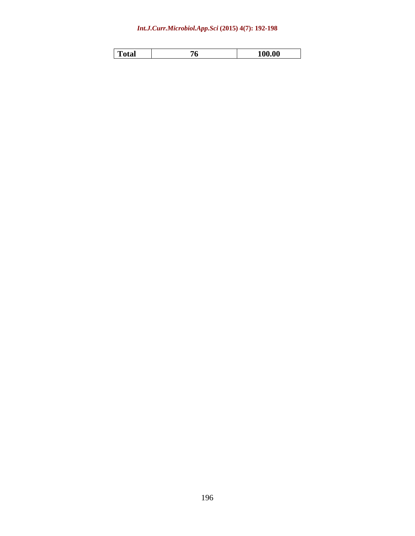### *Int.J.Curr.Microbiol.App.Sci* **(2015) 4(7): 192-198**

| .<br>100.00 |  |  |  |  |
|-------------|--|--|--|--|
|-------------|--|--|--|--|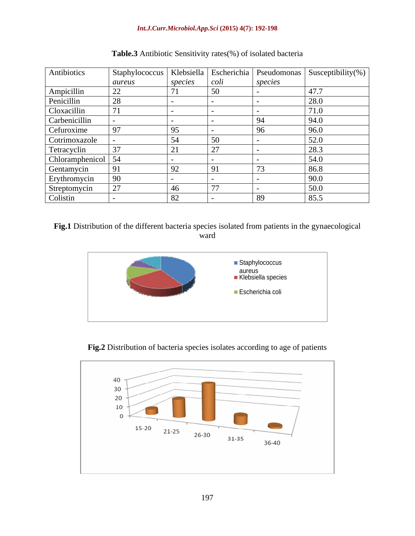| Antibiotics        | Staphylococcus |               |      |         | Klebsiella   Escherichia   Pseudomonas   Susceptibility(%) |
|--------------------|----------------|---------------|------|---------|------------------------------------------------------------|
|                    | aureus         | species       | coli | species |                                                            |
| Ampicillin         | 22             |               | 50   |         | 17 <sup>7</sup><br>41.1                                    |
| Penicillin         | 28             |               |      |         | 28.0                                                       |
| Cloxacillin        |                |               |      |         | 71.0                                                       |
| Carbenicillin      |                |               |      |         | 94.0                                                       |
| Cefuroxime         | 97             |               |      | чn      | 96.0                                                       |
| Cotrimoxazole      |                | 54            | 50   |         | 52.0                                                       |
| Tetracyclin        | 37             | $\sim$ $\sim$ |      |         | 28.3                                                       |
| Chloramphenicol 54 |                |               |      |         | 54.0                                                       |
| Gentamycin         | 91             | 92            |      | $\sim$  | 86.8                                                       |
| Erythromycin       | 90             |               |      |         | 90.0                                                       |
| Streptomycin       | 27             | 46            |      |         | 50.0                                                       |
| Colistin           |                | 82            |      | 89      | 85.5                                                       |

**Table.3** Antibiotic Sensitivity rates(%) of isolated bacteria

**Fig.1** Distribution of the different bacteria species isolated from patients in the gynaecological ward **ward** 



**Fig.2** Distribution of bacteria species isolates according to age of patients